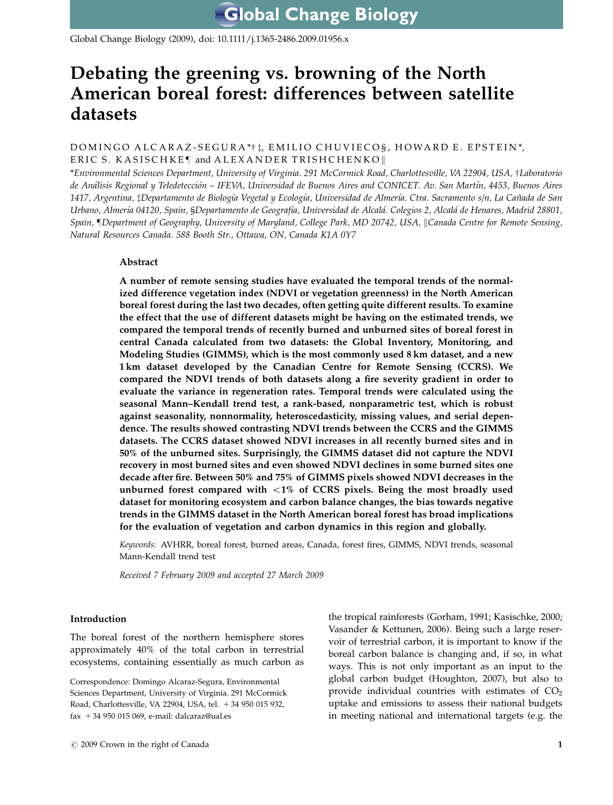Global Change Biology (2009), doi: 10.1111/j.1365-2486.2009.01956.x

# Debating the greening vs. browning of the North American boreal forest: differences between satellite datasets

# DOMINGO ALCARAZ-SEGURA\*††, EMILIO CHUVIECOS, HOWARD E. EPSTEIN\*, ERIC S. KASISCHKE¶ and ALEXANDER TRISHCHENKO ||

\*Environmental Sciences Department, University of Virginia. 291 McCormick Road, Charlottesville, VA 22904, USA, †Laboratorio de Análisis Regional y Teledetección – IFEVA, Universidad de Buenos Aires and CONICET. Av. San Martín, 4453, Buenos Aires 1417, Argentina, ‡Departamento de Biología Vegetal y Ecología, Universidad de Almería. Ctra. Sacramento s/n, La Cañada de San Urbano, Almería 04120, Spain, §Departamento de Geografía, Universidad de Alcalá. Colegios 2, Alcalá de Henares, Madrid 28801, Spain, *"Department of Geography, University of Maryland, College Park, MD 20742, USA*, *||Canada Centre for Remote Sensing*, Natural Resources Canada. 588 Booth Str., Ottawa, ON, Canada K1A 0Y7

# Abstract

A number of remote sensing studies have evaluated the temporal trends of the normalized difference vegetation index (NDVI or vegetation greenness) in the North American boreal forest during the last two decades, often getting quite different results. To examine the effect that the use of different datasets might be having on the estimated trends, we compared the temporal trends of recently burned and unburned sites of boreal forest in central Canada calculated from two datasets: the Global Inventory, Monitoring, and Modeling Studies (GIMMS), which is the most commonly used 8 km dataset, and a new 1 km dataset developed by the Canadian Centre for Remote Sensing (CCRS). We compared the NDVI trends of both datasets along a fire severity gradient in order to evaluate the variance in regeneration rates. Temporal trends were calculated using the seasonal Mann–Kendall trend test, a rank-based, nonparametric test, which is robust against seasonality, nonnormality, heteroscedasticity, missing values, and serial dependence. The results showed contrasting NDVI trends between the CCRS and the GIMMS datasets. The CCRS dataset showed NDVI increases in all recently burned sites and in 50% of the unburned sites. Surprisingly, the GIMMS dataset did not capture the NDVI recovery in most burned sites and even showed NDVI declines in some burned sites one decade after fire. Between 50% and 75% of GIMMS pixels showed NDVI decreases in the unburned forest compared with  $<1\%$  of CCRS pixels. Being the most broadly used dataset for monitoring ecosystem and carbon balance changes, the bias towards negative trends in the GIMMS dataset in the North American boreal forest has broad implications for the evaluation of vegetation and carbon dynamics in this region and globally.

Keywords: AVHRR, boreal forest, burned areas, Canada, forest fires, GIMMS, NDVI trends, seasonal Mann-Kendall trend test

Received 7 February 2009 and accepted 27 March 2009

# Introduction

The boreal forest of the northern hemisphere stores approximately 40% of the total carbon in terrestrial ecosystems, containing essentially as much carbon as

Correspondence: Domingo Alcaraz-Segura, Environmental Sciences Department, University of Virginia. 291 McCormick Road, Charlottesville, VA 22904, USA, tel. + 34 950 015 932, fax  $+ 34$  950 015 069, e-mail: [dalcaraz@ual.es](mailto:dalcaraz@ual.es)

the tropical rainforests (Gorham, 1991; Kasischke, 2000; Vasander & Kettunen, 2006). Being such a large reservoir of terrestrial carbon, it is important to know if the boreal carbon balance is changing and, if so, in what ways. This is not only important as an input to the global carbon budget (Houghton, 2007), but also to provide individual countries with estimates of  $CO<sub>2</sub>$ uptake and emissions to assess their national budgets in meeting national and international targets (e.g. the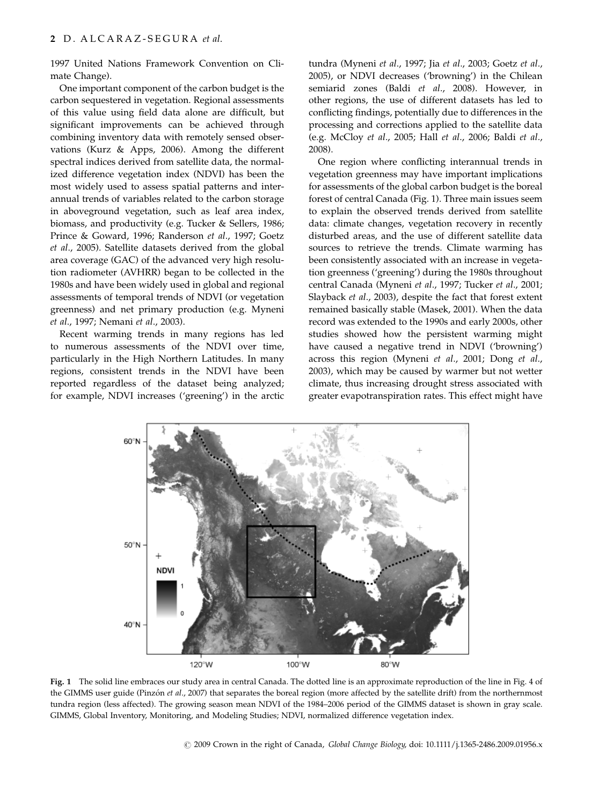1997 United Nations Framework Convention on Climate Change).

One important component of the carbon budget is the carbon sequestered in vegetation. Regional assessments of this value using field data alone are difficult, but significant improvements can be achieved through combining inventory data with remotely sensed observations (Kurz & Apps, 2006). Among the different spectral indices derived from satellite data, the normalized difference vegetation index (NDVI) has been the most widely used to assess spatial patterns and interannual trends of variables related to the carbon storage in aboveground vegetation, such as leaf area index, biomass, and productivity (e.g. Tucker & Sellers, 1986; Prince & Goward, 1996; Randerson et al., 1997; Goetz et al., 2005). Satellite datasets derived from the global area coverage (GAC) of the advanced very high resolution radiometer (AVHRR) began to be collected in the 1980s and have been widely used in global and regional assessments of temporal trends of NDVI (or vegetation greenness) and net primary production (e.g. Myneni et al., 1997; Nemani et al., 2003).

Recent warming trends in many regions has led to numerous assessments of the NDVI over time, particularly in the High Northern Latitudes. In many regions, consistent trends in the NDVI have been reported regardless of the dataset being analyzed; for example, NDVI increases ('greening') in the arctic tundra (Myneni et al., 1997; Jia et al., 2003; Goetz et al., 2005), or NDVI decreases ('browning') in the Chilean semiarid zones (Baldi et al., 2008). However, in other regions, the use of different datasets has led to conflicting findings, potentially due to differences in the processing and corrections applied to the satellite data (e.g. McCloy et al., 2005; Hall et al., 2006; Baldi et al., 2008).

One region where conflicting interannual trends in vegetation greenness may have important implications for assessments of the global carbon budget is the boreal forest of central Canada (Fig. 1). Three main issues seem to explain the observed trends derived from satellite data: climate changes, vegetation recovery in recently disturbed areas, and the use of different satellite data sources to retrieve the trends. Climate warming has been consistently associated with an increase in vegetation greenness ('greening') during the 1980s throughout central Canada (Myneni et al., 1997; Tucker et al., 2001; Slayback et al., 2003), despite the fact that forest extent remained basically stable (Masek, 2001). When the data record was extended to the 1990s and early 2000s, other studies showed how the persistent warming might have caused a negative trend in NDVI ('browning') across this region (Myneni et al., 2001; Dong et al., 2003), which may be caused by warmer but not wetter climate, thus increasing drought stress associated with greater evapotranspiration rates. This effect might have



Fig. 1 The solid line embraces our study area in central Canada. The dotted line is an approximate reproduction of the line in Fig. 4 of the GIMMS user guide (Pinzón et al., 2007) that separates the boreal region (more affected by the satellite drift) from the northernmost tundra region (less affected). The growing season mean NDVI of the 1984–2006 period of the GIMMS dataset is shown in gray scale. GIMMS, Global Inventory, Monitoring, and Modeling Studies; NDVI, normalized difference vegetation index.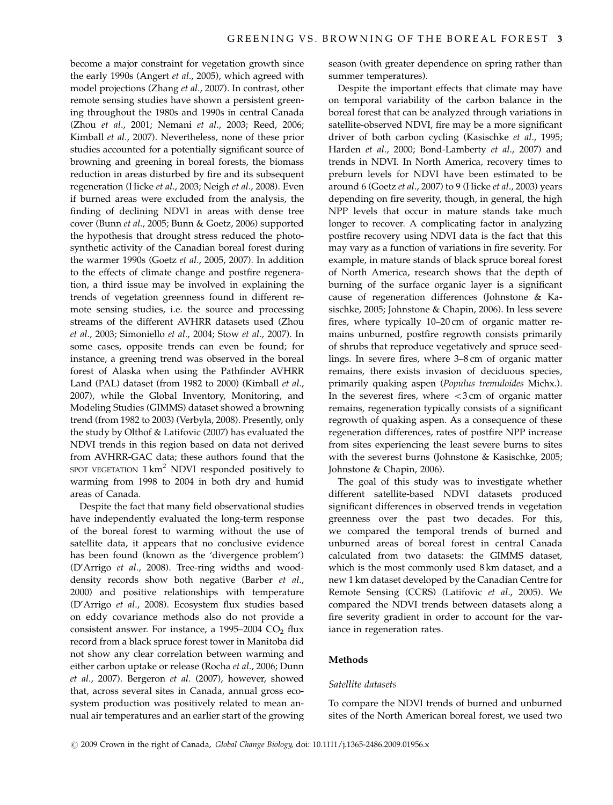become a major constraint for vegetation growth since the early 1990s (Angert et al., 2005), which agreed with model projections (Zhang et al., 2007). In contrast, other remote sensing studies have shown a persistent greening throughout the 1980s and 1990s in central Canada (Zhou et al., 2001; Nemani et al., 2003; Reed, 2006; Kimball et al., 2007). Nevertheless, none of these prior studies accounted for a potentially significant source of browning and greening in boreal forests, the biomass reduction in areas disturbed by fire and its subsequent regeneration (Hicke et al., 2003; Neigh et al., 2008). Even if burned areas were excluded from the analysis, the finding of declining NDVI in areas with dense tree cover (Bunn et al., 2005; Bunn & Goetz, 2006) supported the hypothesis that drought stress reduced the photosynthetic activity of the Canadian boreal forest during the warmer 1990s (Goetz et al., 2005, 2007). In addition to the effects of climate change and postfire regeneration, a third issue may be involved in explaining the trends of vegetation greenness found in different remote sensing studies, i.e. the source and processing streams of the different AVHRR datasets used (Zhou et al., 2003; Simoniello et al., 2004; Stow et al., 2007). In some cases, opposite trends can even be found; for instance, a greening trend was observed in the boreal forest of Alaska when using the Pathfinder AVHRR Land (PAL) dataset (from 1982 to 2000) (Kimball et al., 2007), while the Global Inventory, Monitoring, and Modeling Studies (GIMMS) dataset showed a browning trend (from 1982 to 2003) (Verbyla, 2008). Presently, only the study by Olthof & Latifovic (2007) has evaluated the NDVI trends in this region based on data not derived from AVHRR-GAC data; these authors found that the SPOT VEGETATION  $1 \text{ km}^2$  NDVI responded positively to warming from 1998 to 2004 in both dry and humid areas of Canada.

Despite the fact that many field observational studies have independently evaluated the long-term response of the boreal forest to warming without the use of satellite data, it appears that no conclusive evidence has been found (known as the 'divergence problem') (D'Arrigo et al., 2008). Tree-ring widths and wooddensity records show both negative (Barber et al., 2000) and positive relationships with temperature (D'Arrigo et al., 2008). Ecosystem flux studies based on eddy covariance methods also do not provide a consistent answer. For instance, a 1995–2004  $CO<sub>2</sub>$  flux record from a black spruce forest tower in Manitoba did not show any clear correlation between warming and either carbon uptake or release (Rocha et al., 2006; Dunn et al., 2007). Bergeron et al. (2007), however, showed that, across several sites in Canada, annual gross ecosystem production was positively related to mean annual air temperatures and an earlier start of the growing

season (with greater dependence on spring rather than summer temperatures).

Despite the important effects that climate may have on temporal variability of the carbon balance in the boreal forest that can be analyzed through variations in satellite-observed NDVI, fire may be a more significant driver of both carbon cycling (Kasischke et al., 1995; Harden et al., 2000; Bond-Lamberty et al., 2007) and trends in NDVI. In North America, recovery times to preburn levels for NDVI have been estimated to be around 6 (Goetz et al., 2007) to 9 (Hicke et al., 2003) years depending on fire severity, though, in general, the high NPP levels that occur in mature stands take much longer to recover. A complicating factor in analyzing postfire recovery using NDVI data is the fact that this may vary as a function of variations in fire severity. For example, in mature stands of black spruce boreal forest of North America, research shows that the depth of burning of the surface organic layer is a significant cause of regeneration differences (Johnstone & Kasischke, 2005; Johnstone & Chapin, 2006). In less severe fires, where typically 10–20 cm of organic matter remains unburned, postfire regrowth consists primarily of shrubs that reproduce vegetatively and spruce seedlings. In severe fires, where 3–8 cm of organic matter remains, there exists invasion of deciduous species, primarily quaking aspen (Populus tremuloides Michx.). In the severest fires, where  $\langle 3 \text{ cm of }$  organic matter remains, regeneration typically consists of a significant regrowth of quaking aspen. As a consequence of these regeneration differences, rates of postfire NPP increase from sites experiencing the least severe burns to sites with the severest burns (Johnstone & Kasischke, 2005; Johnstone & Chapin, 2006).

The goal of this study was to investigate whether different satellite-based NDVI datasets produced significant differences in observed trends in vegetation greenness over the past two decades. For this, we compared the temporal trends of burned and unburned areas of boreal forest in central Canada calculated from two datasets: the GIMMS dataset, which is the most commonly used 8 km dataset, and a new 1 km dataset developed by the Canadian Centre for Remote Sensing (CCRS) (Latifovic et al., 2005). We compared the NDVI trends between datasets along a fire severity gradient in order to account for the variance in regeneration rates.

# Methods

## Satellite datasets

To compare the NDVI trends of burned and unburned sites of the North American boreal forest, we used two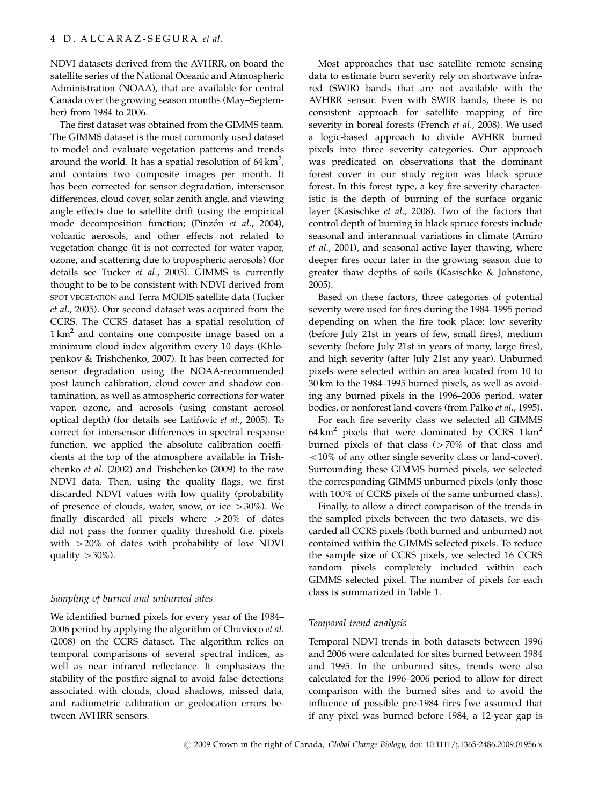NDVI datasets derived from the AVHRR, on board the satellite series of the National Oceanic and Atmospheric Administration (NOAA), that are available for central Canada over the growing season months (May–September) from 1984 to 2006.

The first dataset was obtained from the GIMMS team. The GIMMS dataset is the most commonly used dataset to model and evaluate vegetation patterns and trends around the world. It has a spatial resolution of  $64 \,\mathrm{km}^2$ , and contains two composite images per month. It has been corrected for sensor degradation, intersensor differences, cloud cover, solar zenith angle, and viewing angle effects due to satellite drift (using the empirical mode decomposition function; (Pinzón et al., 2004), volcanic aerosols, and other effects not related to vegetation change (it is not corrected for water vapor, ozone, and scattering due to tropospheric aerosols) (for details see Tucker et al., 2005). GIMMS is currently thought to be to be consistent with NDVI derived from SPOT VEGETATION and Terra MODIS satellite data (Tucker et al., 2005). Our second dataset was acquired from the CCRS. The CCRS dataset has a spatial resolution of  $1 \text{ km}^2$  and contains one composite image based on a minimum cloud index algorithm every 10 days (Khlopenkov & Trishchenko, 2007). It has been corrected for sensor degradation using the NOAA-recommended post launch calibration, cloud cover and shadow contamination, as well as atmospheric corrections for water vapor, ozone, and aerosols (using constant aerosol optical depth) (for details see Latifovic et al., 2005). To correct for intersensor differences in spectral response function, we applied the absolute calibration coefficients at the top of the atmosphere available in Trishchenko et al. (2002) and Trishchenko (2009) to the raw NDVI data. Then, using the quality flags, we first discarded NDVI values with low quality (probability of presence of clouds, water, snow, or ice  $>30\%$ ). We finally discarded all pixels where  $>20\%$  of dates did not pass the former quality threshold (i.e. pixels with  $>20\%$  of dates with probability of low NDVI quality  $>30\%$ ).

# Sampling of burned and unburned sites

We identified burned pixels for every year of the 1984– 2006 period by applying the algorithm of Chuvieco et al. (2008) on the CCRS dataset. The algorithm relies on temporal comparisons of several spectral indices, as well as near infrared reflectance. It emphasizes the stability of the postfire signal to avoid false detections associated with clouds, cloud shadows, missed data, and radiometric calibration or geolocation errors between AVHRR sensors.

Most approaches that use satellite remote sensing data to estimate burn severity rely on shortwave infrared (SWIR) bands that are not available with the AVHRR sensor. Even with SWIR bands, there is no consistent approach for satellite mapping of fire severity in boreal forests (French et al., 2008). We used a logic-based approach to divide AVHRR burned pixels into three severity categories. Our approach was predicated on observations that the dominant forest cover in our study region was black spruce forest. In this forest type, a key fire severity characteristic is the depth of burning of the surface organic layer (Kasischke et al., 2008). Two of the factors that control depth of burning in black spruce forests include seasonal and interannual variations in climate (Amiro et al., 2001), and seasonal active layer thawing, where deeper fires occur later in the growing season due to greater thaw depths of soils (Kasischke & Johnstone, 2005).

Based on these factors, three categories of potential severity were used for fires during the 1984–1995 period depending on when the fire took place: low severity (before July 21st in years of few, small fires), medium severity (before July 21st in years of many, large fires), and high severity (after July 21st any year). Unburned pixels were selected within an area located from 10 to 30 km to the 1984–1995 burned pixels, as well as avoiding any burned pixels in the 1996–2006 period, water bodies, or nonforest land-covers (from Palko et al., 1995).

For each fire severity class we selected all GIMMS  $64 \text{ km}^2$  pixels that were dominated by CCRS  $1 \text{ km}^2$ burned pixels of that class  $(>70\%$  of that class and  $10\%$  of any other single severity class or land-cover). Surrounding these GIMMS burned pixels, we selected the corresponding GIMMS unburned pixels (only those with 100% of CCRS pixels of the same unburned class).

Finally, to allow a direct comparison of the trends in the sampled pixels between the two datasets, we discarded all CCRS pixels (both burned and unburned) not contained within the GIMMS selected pixels. To reduce the sample size of CCRS pixels, we selected 16 CCRS random pixels completely included within each GIMMS selected pixel. The number of pixels for each class is summarized in Table 1.

#### Temporal trend analysis

Temporal NDVI trends in both datasets between 1996 and 2006 were calculated for sites burned between 1984 and 1995. In the unburned sites, trends were also calculated for the 1996–2006 period to allow for direct comparison with the burned sites and to avoid the influence of possible pre-1984 fires [we assumed that if any pixel was burned before 1984, a 12-year gap is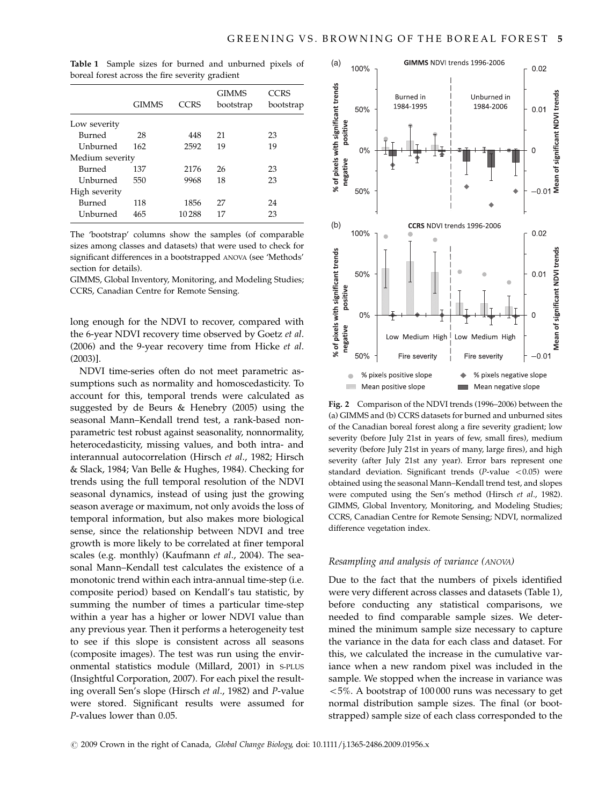|                 | <b>GIMMS</b> | <b>CCRS</b> | <b>GIMMS</b><br>bootstrap | <b>CCRS</b><br>bootstrap |
|-----------------|--------------|-------------|---------------------------|--------------------------|
| Low severity    |              |             |                           |                          |
| Burned          | 28           | 448         | 21                        | 23                       |
| <b>Unburned</b> | 162          | 2592        | 19                        | 19                       |
| Medium severity |              |             |                           |                          |
| Burned          | 137          | 2176        | 26                        | 23                       |
| <b>Unburned</b> | 550          | 9968        | 18                        | 23                       |
| High severity   |              |             |                           |                          |
| Burned          | 118          | 1856        | 27                        | 24                       |
| Unburned        | 465          | 10288       | 17                        | 23                       |

Table 1 Sample sizes for burned and unburned pixels of boreal forest across the fire severity gradient

The 'bootstrap' columns show the samples (of comparable sizes among classes and datasets) that were used to check for significant differences in a bootstrapped ANOVA (see 'Methods' section for details).

GIMMS, Global Inventory, Monitoring, and Modeling Studies; CCRS, Canadian Centre for Remote Sensing.

long enough for the NDVI to recover, compared with the 6-year NDVI recovery time observed by Goetz et al. (2006) and the 9-year recovery time from Hicke et al. (2003)].

NDVI time-series often do not meet parametric assumptions such as normality and homoscedasticity. To account for this, temporal trends were calculated as suggested by de Beurs & Henebry (2005) using the seasonal Mann–Kendall trend test, a rank-based nonparametric test robust against seasonality, nonnormality, heterocedasticity, missing values, and both intra- and interannual autocorrelation (Hirsch et al., 1982; Hirsch & Slack, 1984; Van Belle & Hughes, 1984). Checking for trends using the full temporal resolution of the NDVI seasonal dynamics, instead of using just the growing season average or maximum, not only avoids the loss of temporal information, but also makes more biological sense, since the relationship between NDVI and tree growth is more likely to be correlated at finer temporal scales (e.g. monthly) (Kaufmann et al., 2004). The seasonal Mann–Kendall test calculates the existence of a monotonic trend within each intra-annual time-step (i.e. composite period) based on Kendall's tau statistic, by summing the number of times a particular time-step within a year has a higher or lower NDVI value than any previous year. Then it performs a heterogeneity test to see if this slope is consistent across all seasons (composite images). The test was run using the environmental statistics module (Millard, 2001) in S-PLUS (Insightful Corporation, 2007). For each pixel the resulting overall Sen's slope (Hirsch et al., 1982) and P-value were stored. Significant results were assumed for P-values lower than 0.05.



Fig. 2 Comparison of the NDVI trends (1996–2006) between the (a) GIMMS and (b) CCRS datasets for burned and unburned sites of the Canadian boreal forest along a fire severity gradient; low severity (before July 21st in years of few, small fires), medium severity (before July 21st in years of many, large fires), and high severity (after July 21st any year). Error bars represent one standard deviation. Significant trends ( $P$ -value <0.05) were obtained using the seasonal Mann–Kendall trend test, and slopes were computed using the Sen's method (Hirsch et al., 1982). GIMMS, Global Inventory, Monitoring, and Modeling Studies; CCRS, Canadian Centre for Remote Sensing; NDVI, normalized difference vegetation index.

#### Resampling and analysis of variance (ANOVA)

Due to the fact that the numbers of pixels identified were very different across classes and datasets (Table 1), before conducting any statistical comparisons, we needed to find comparable sample sizes. We determined the minimum sample size necessary to capture the variance in the data for each class and dataset. For this, we calculated the increase in the cumulative variance when a new random pixel was included in the sample. We stopped when the increase in variance was  $<$  5%. A bootstrap of 100 000 runs was necessary to get normal distribution sample sizes. The final (or bootstrapped) sample size of each class corresponded to the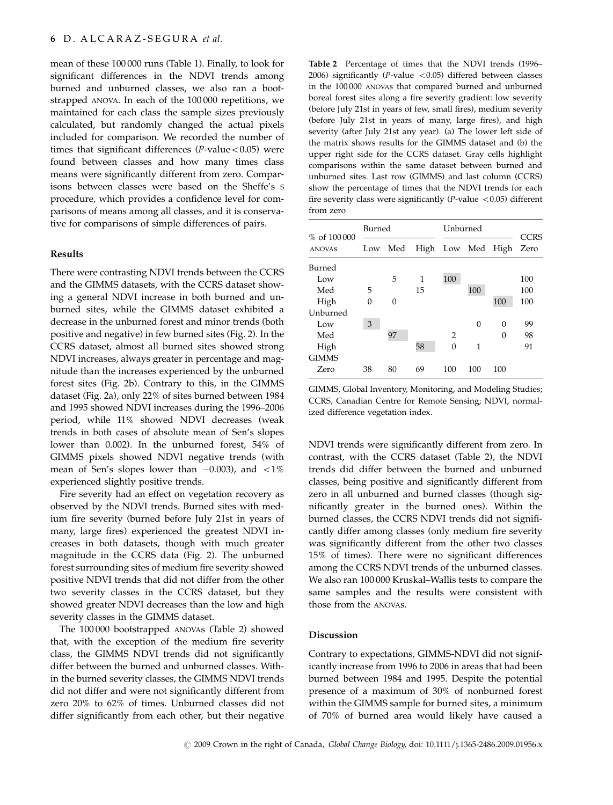mean of these 100 000 runs (Table 1). Finally, to look for significant differences in the NDVI trends among burned and unburned classes, we also ran a bootstrapped ANOVA. In each of the 100 000 repetitions, we maintained for each class the sample sizes previously calculated, but randomly changed the actual pixels included for comparison. We recorded the number of times that significant differences ( $P$ -value < 0.05) were found between classes and how many times class means were significantly different from zero. Comparisons between classes were based on the Sheffe's S procedure, which provides a confidence level for comparisons of means among all classes, and it is conservative for comparisons of simple differences of pairs.

## Results

There were contrasting NDVI trends between the CCRS and the GIMMS datasets, with the CCRS dataset showing a general NDVI increase in both burned and unburned sites, while the GIMMS dataset exhibited a decrease in the unburned forest and minor trends (both positive and negative) in few burned sites (Fig. 2). In the CCRS dataset, almost all burned sites showed strong NDVI increases, always greater in percentage and magnitude than the increases experienced by the unburned forest sites (Fig. 2b). Contrary to this, in the GIMMS dataset (Fig. 2a), only 22% of sites burned between 1984 and 1995 showed NDVI increases during the 1996–2006 period, while 11% showed NDVI decreases (weak trends in both cases of absolute mean of Sen's slopes lower than 0.002). In the unburned forest, 54% of GIMMS pixels showed NDVI negative trends (with mean of Sen's slopes lower than  $-0.003$ ), and  $<\!1\%$ experienced slightly positive trends.

Fire severity had an effect on vegetation recovery as observed by the NDVI trends. Burned sites with medium fire severity (burned before July 21st in years of many, large fires) experienced the greatest NDVI increases in both datasets, though with much greater magnitude in the CCRS data (Fig. 2). The unburned forest surrounding sites of medium fire severity showed positive NDVI trends that did not differ from the other two severity classes in the CCRS dataset, but they showed greater NDVI decreases than the low and high severity classes in the GIMMS dataset.

The 100 000 bootstrapped ANOVAs (Table 2) showed that, with the exception of the medium fire severity class, the GIMMS NDVI trends did not significantly differ between the burned and unburned classes. Within the burned severity classes, the GIMMS NDVI trends did not differ and were not significantly different from zero 20% to 62% of times. Unburned classes did not differ significantly from each other, but their negative Table 2 Percentage of times that the NDVI trends (1996– 2006) significantly (*P*-value  $<$  0.05) differed between classes in the 100 000 ANOVAs that compared burned and unburned boreal forest sites along a fire severity gradient: low severity (before July 21st in years of few, small fires), medium severity (before July 21st in years of many, large fires), and high severity (after July 21st any year). (a) The lower left side of the matrix shows results for the GIMMS dataset and (b) the upper right side for the CCRS dataset. Gray cells highlight comparisons within the same dataset between burned and unburned sites. Last row (GIMMS) and last column (CCRS) show the percentage of times that the NDVI trends for each fire severity class were significantly (*P*-value  $< 0.05$ ) different from zero

| % of 100000<br><b>ANOVAS</b> | Burned |          |      | Unburned     |          |     |              |
|------------------------------|--------|----------|------|--------------|----------|-----|--------------|
|                              | Low    | Med      | High | Low Med High |          |     | TCRS<br>Zero |
| Burned                       |        |          |      |              |          |     |              |
| Low                          |        | 5        | 1    | 100          |          |     | 100          |
| Med                          | 5      |          | 15   |              | 100      |     | 100          |
| High                         | 0      | $\Omega$ |      |              |          | 100 | 100          |
| Unburned                     |        |          |      |              |          |     |              |
| Low                          | 3      |          |      |              | $\Omega$ | 0   | 99           |
| Med                          |        | 97       |      | 2            |          | 0   | 98           |
| High                         |        |          | 58   | 0            | 1        |     | 91           |
| <b>GIMMS</b>                 |        |          |      |              |          |     |              |
| Zero                         | 38     | 80       | 69   | 100          | 100      | 100 |              |

GIMMS, Global Inventory, Monitoring, and Modeling Studies; CCRS, Canadian Centre for Remote Sensing; NDVI, normalized difference vegetation index.

NDVI trends were significantly different from zero. In contrast, with the CCRS dataset (Table 2), the NDVI trends did differ between the burned and unburned classes, being positive and significantly different from zero in all unburned and burned classes (though significantly greater in the burned ones). Within the burned classes, the CCRS NDVI trends did not significantly differ among classes (only medium fire severity was significantly different from the other two classes 15% of times). There were no significant differences among the CCRS NDVI trends of the unburned classes. We also ran 100 000 Kruskal–Wallis tests to compare the same samples and the results were consistent with those from the ANOVAs.

## Discussion

Contrary to expectations, GIMMS-NDVI did not significantly increase from 1996 to 2006 in areas that had been burned between 1984 and 1995. Despite the potential presence of a maximum of 30% of nonburned forest within the GIMMS sample for burned sites, a minimum of 70% of burned area would likely have caused a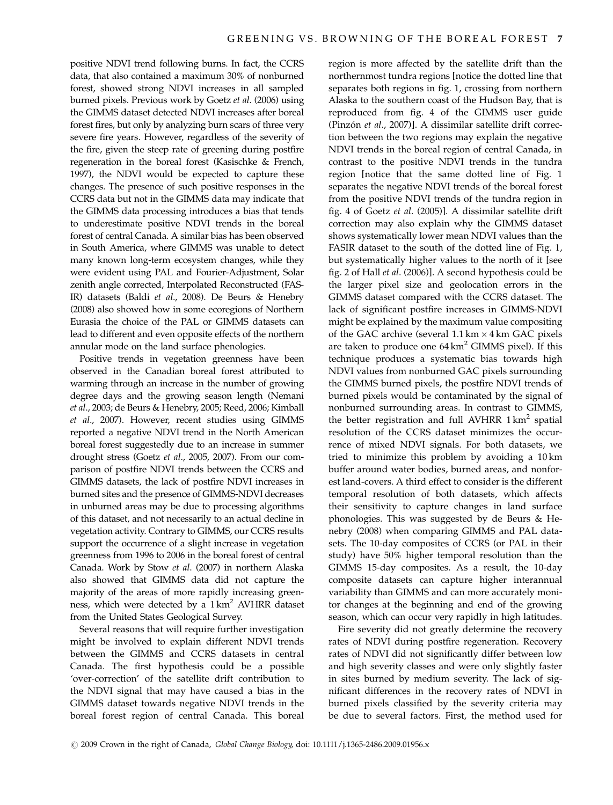positive NDVI trend following burns. In fact, the CCRS data, that also contained a maximum 30% of nonburned forest, showed strong NDVI increases in all sampled burned pixels. Previous work by Goetz et al. (2006) using the GIMMS dataset detected NDVI increases after boreal forest fires, but only by analyzing burn scars of three very severe fire years. However, regardless of the severity of the fire, given the steep rate of greening during postfire regeneration in the boreal forest (Kasischke & French, 1997), the NDVI would be expected to capture these changes. The presence of such positive responses in the CCRS data but not in the GIMMS data may indicate that the GIMMS data processing introduces a bias that tends to underestimate positive NDVI trends in the boreal forest of central Canada. A similar bias has been observed in South America, where GIMMS was unable to detect many known long-term ecosystem changes, while they were evident using PAL and Fourier-Adjustment, Solar zenith angle corrected, Interpolated Reconstructed (FAS-IR) datasets (Baldi et al., 2008). De Beurs & Henebry (2008) also showed how in some ecoregions of Northern Eurasia the choice of the PAL or GIMMS datasets can lead to different and even opposite effects of the northern annular mode on the land surface phenologies.

Positive trends in vegetation greenness have been observed in the Canadian boreal forest attributed to warming through an increase in the number of growing degree days and the growing season length (Nemani et al., 2003; de Beurs & Henebry, 2005; Reed, 2006; Kimball et al., 2007). However, recent studies using GIMMS reported a negative NDVI trend in the North American boreal forest suggestedly due to an increase in summer drought stress (Goetz et al., 2005, 2007). From our comparison of postfire NDVI trends between the CCRS and GIMMS datasets, the lack of postfire NDVI increases in burned sites and the presence of GIMMS-NDVI decreases in unburned areas may be due to processing algorithms of this dataset, and not necessarily to an actual decline in vegetation activity. Contrary to GIMMS, our CCRS results support the occurrence of a slight increase in vegetation greenness from 1996 to 2006 in the boreal forest of central Canada. Work by Stow et al. (2007) in northern Alaska also showed that GIMMS data did not capture the majority of the areas of more rapidly increasing greenness, which were detected by a  $1 \text{ km}^2$  AVHRR dataset from the United States Geological Survey.

Several reasons that will require further investigation might be involved to explain different NDVI trends between the GIMMS and CCRS datasets in central Canada. The first hypothesis could be a possible 'over-correction' of the satellite drift contribution to the NDVI signal that may have caused a bias in the GIMMS dataset towards negative NDVI trends in the boreal forest region of central Canada. This boreal region is more affected by the satellite drift than the northernmost tundra regions [notice the dotted line that separates both regions in fig. 1, crossing from northern Alaska to the southern coast of the Hudson Bay, that is reproduced from fig. 4 of the GIMMS user guide (Pinzón et al., 2007)]. A dissimilar satellite drift correction between the two regions may explain the negative NDVI trends in the boreal region of central Canada, in contrast to the positive NDVI trends in the tundra region [notice that the same dotted line of Fig. 1 separates the negative NDVI trends of the boreal forest from the positive NDVI trends of the tundra region in fig. 4 of Goetz et al. (2005)]. A dissimilar satellite drift correction may also explain why the GIMMS dataset shows systematically lower mean NDVI values than the FASIR dataset to the south of the dotted line of Fig. 1, but systematically higher values to the north of it [see fig. 2 of Hall et al. (2006)]. A second hypothesis could be the larger pixel size and geolocation errors in the GIMMS dataset compared with the CCRS dataset. The lack of significant postfire increases in GIMMS-NDVI might be explained by the maximum value compositing of the GAC archive (several  $1.1 \text{ km} \times 4 \text{ km}$  GAC pixels are taken to produce one  $64 \text{ km}^2$  GIMMS pixel). If this technique produces a systematic bias towards high NDVI values from nonburned GAC pixels surrounding the GIMMS burned pixels, the postfire NDVI trends of burned pixels would be contaminated by the signal of nonburned surrounding areas. In contrast to GIMMS, the better registration and full AVHRR  $1 \text{ km}^2$  spatial resolution of the CCRS dataset minimizes the occurrence of mixed NDVI signals. For both datasets, we tried to minimize this problem by avoiding a 10 km buffer around water bodies, burned areas, and nonforest land-covers. A third effect to consider is the different temporal resolution of both datasets, which affects their sensitivity to capture changes in land surface phonologies. This was suggested by de Beurs & Henebry (2008) when comparing GIMMS and PAL datasets. The 10-day composites of CCRS (or PAL in their study) have 50% higher temporal resolution than the GIMMS 15-day composites. As a result, the 10-day composite datasets can capture higher interannual variability than GIMMS and can more accurately monitor changes at the beginning and end of the growing season, which can occur very rapidly in high latitudes.

Fire severity did not greatly determine the recovery rates of NDVI during postfire regeneration. Recovery rates of NDVI did not significantly differ between low and high severity classes and were only slightly faster in sites burned by medium severity. The lack of significant differences in the recovery rates of NDVI in burned pixels classified by the severity criteria may be due to several factors. First, the method used for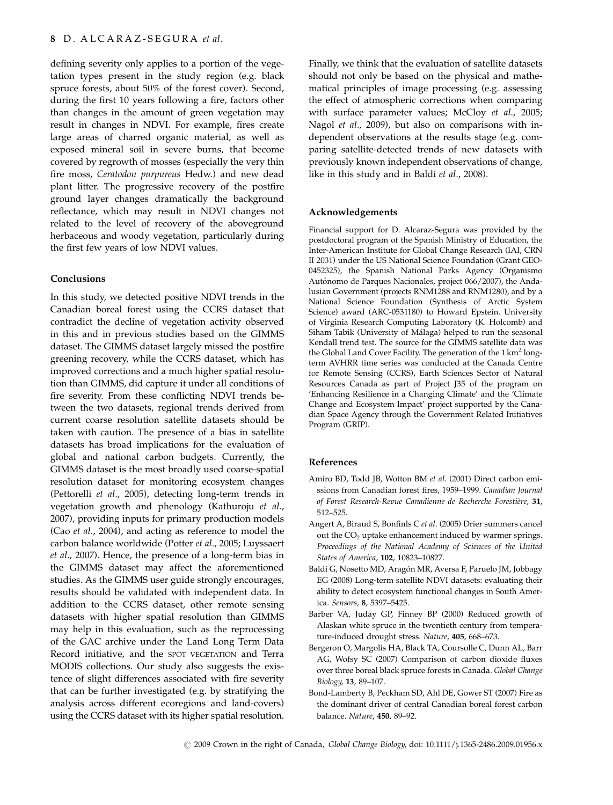defining severity only applies to a portion of the vegetation types present in the study region (e.g. black spruce forests, about 50% of the forest cover). Second, during the first 10 years following a fire, factors other than changes in the amount of green vegetation may result in changes in NDVI. For example, fires create large areas of charred organic material, as well as exposed mineral soil in severe burns, that become covered by regrowth of mosses (especially the very thin fire moss, Ceratodon purpureus Hedw.) and new dead plant litter. The progressive recovery of the postfire ground layer changes dramatically the background reflectance, which may result in NDVI changes not related to the level of recovery of the aboveground herbaceous and woody vegetation, particularly during the first few years of low NDVI values.

## Conclusions

In this study, we detected positive NDVI trends in the Canadian boreal forest using the CCRS dataset that contradict the decline of vegetation activity observed in this and in previous studies based on the GIMMS dataset. The GIMMS dataset largely missed the postfire greening recovery, while the CCRS dataset, which has improved corrections and a much higher spatial resolution than GIMMS, did capture it under all conditions of fire severity. From these conflicting NDVI trends between the two datasets, regional trends derived from current coarse resolution satellite datasets should be taken with caution. The presence of a bias in satellite datasets has broad implications for the evaluation of global and national carbon budgets. Currently, the GIMMS dataset is the most broadly used coarse-spatial resolution dataset for monitoring ecosystem changes (Pettorelli et al., 2005), detecting long-term trends in vegetation growth and phenology (Kathuroju et al., 2007), providing inputs for primary production models (Cao et al., 2004), and acting as reference to model the carbon balance worldwide (Potter et al., 2005; Luyssaert et al., 2007). Hence, the presence of a long-term bias in the GIMMS dataset may affect the aforementioned studies. As the GIMMS user guide strongly encourages, results should be validated with independent data. In addition to the CCRS dataset, other remote sensing datasets with higher spatial resolution than GIMMS may help in this evaluation, such as the reprocessing of the GAC archive under the Land Long Term Data Record initiative, and the SPOT VEGETATION and Terra MODIS collections. Our study also suggests the existence of slight differences associated with fire severity that can be further investigated (e.g. by stratifying the analysis across different ecoregions and land-covers) using the CCRS dataset with its higher spatial resolution.

Finally, we think that the evaluation of satellite datasets should not only be based on the physical and mathematical principles of image processing (e.g. assessing the effect of atmospheric corrections when comparing with surface parameter values; McCloy et al., 2005; Nagol et al., 2009), but also on comparisons with independent observations at the results stage (e.g. comparing satellite-detected trends of new datasets with previously known independent observations of change, like in this study and in Baldi et al., 2008).

#### Acknowledgements

Financial support for D. Alcaraz-Segura was provided by the postdoctoral program of the Spanish Ministry of Education, the Inter-American Institute for Global Change Research (IAI, CRN II 2031) under the US National Science Foundation (Grant GEO-0452325), the Spanish National Parks Agency (Organismo Autónomo de Parques Nacionales, project 066/2007), the Andalusian Government (projects RNM1288 and RNM1280), and by a National Science Foundation (Synthesis of Arctic System Science) award (ARC-0531180) to Howard Epstein. University of Virginia Research Computing Laboratory (K. Holcomb) and Siham Tabik (University of Málaga) helped to run the seasonal Kendall trend test. The source for the GIMMS satellite data was the Global Land Cover Facility. The generation of the  $1 \text{ km}^2$  longterm AVHRR time series was conducted at the Canada Centre for Remote Sensing (CCRS), Earth Sciences Sector of Natural Resources Canada as part of Project J35 of the program on 'Enhancing Resilience in a Changing Climate' and the 'Climate Change and Ecosystem Impact' project supported by the Canadian Space Agency through the Government Related Initiatives Program (GRIP).

#### References

- Amiro BD, Todd JB, Wotton BM et al. (2001) Direct carbon emissions from Canadian forest fires, 1959–1999. Canadian Journal of Forest Research-Revue Canadienne de Recherche Forestière, 31, 512–525.
- Angert A, Biraud S, Bonfinls C et al. (2005) Drier summers cancel out the  $CO<sub>2</sub>$  uptake enhancement induced by warmer springs. Proceedings of the National Academy of Sciences of the United States of America, 102, 10823–10827.
- Baldi G, Nosetto MD, Aragón MR, Aversa F, Paruelo JM, Jobbagy EG (2008) Long-term satellite NDVI datasets: evaluating their ability to detect ecosystem functional changes in South America. Sensors, 8, 5397–5425.
- Barber VA, Juday GP, Finney BP (2000) Reduced growth of Alaskan white spruce in the twentieth century from temperature-induced drought stress. Nature, 405, 668–673.
- Bergeron O, Margolis HA, Black TA, Coursolle C, Dunn AL, Barr AG, Wofsy SC (2007) Comparison of carbon dioxide fluxes over three boreal black spruce forests in Canada. Global Change Biology, 13, 89–107.
- Bond-Lamberty B, Peckham SD, Ahl DE, Gower ST (2007) Fire as the dominant driver of central Canadian boreal forest carbon balance. Nature, 450, 89–92.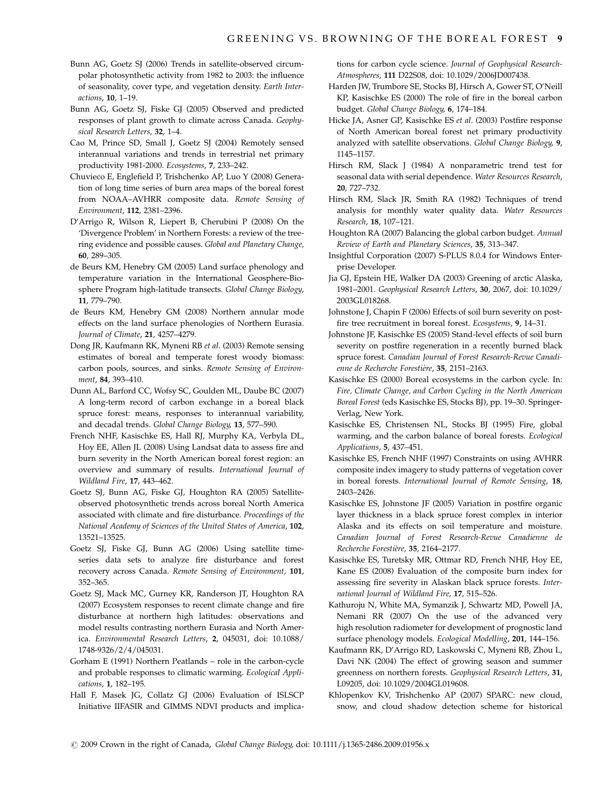- Bunn AG, Goetz SJ (2006) Trends in satellite-observed circumpolar photosynthetic activity from 1982 to 2003: the influence of seasonality, cover type, and vegetation density. Earth Interactions, 10, 1–19.
- Bunn AG, Goetz SJ, Fiske GJ (2005) Observed and predicted responses of plant growth to climate across Canada. Geophysical Research Letters, 32, 1–4.
- Cao M, Prince SD, Small J, Goetz SJ (2004) Remotely sensed interannual variations and trends in terrestrial net primary productivity 1981-2000. Ecosystems, 7, 233–242.
- Chuvieco E, Englefield P, Trishchenko AP, Luo Y (2008) Generation of long time series of burn area maps of the boreal forest from NOAA–AVHRR composite data. Remote Sensing of Environment, 112, 2381–2396.
- D'Arrigo R, Wilson R, Liepert B, Cherubini P (2008) On the 'Divergence Problem' in Northern Forests: a review of the treering evidence and possible causes. Global and Planetary Change, 60, 289–305.
- de Beurs KM, Henebry GM (2005) Land surface phenology and temperature variation in the International Geosphere-Biosphere Program high-latitude transects. Global Change Biology, 11, 779–790.
- de Beurs KM, Henebry GM (2008) Northern annular mode effects on the land surface phenologies of Northern Eurasia. Journal of Climate, 21, 4257–4279.
- Dong JR, Kaufmann RK, Myneni RB et al. (2003) Remote sensing estimates of boreal and temperate forest woody biomass: carbon pools, sources, and sinks. Remote Sensing of Environment, 84, 393–410.
- Dunn AL, Barford CC, Wofsy SC, Goulden ML, Daube BC (2007) A long-term record of carbon exchange in a boreal black spruce forest: means, responses to interannual variability, and decadal trends. Global Change Biology, 13, 577–590.
- French NHF, Kasischke ES, Hall RJ, Murphy KA, Verbyla DL, Hoy EE, Allen JL (2008) Using Landsat data to assess fire and burn severity in the North American boreal forest region: an overview and summary of results. International Journal of Wildland Fire, 17, 443–462.
- Goetz SJ, Bunn AG, Fiske GJ, Houghton RA (2005) Satelliteobserved photosynthetic trends across boreal North America associated with climate and fire disturbance. Proceedings of the National Academy of Sciences of the United States of America, 102, 13521–13525.
- Goetz SJ, Fiske GJ, Bunn AG (2006) Using satellite timeseries data sets to analyze fire disturbance and forest recovery across Canada. Remote Sensing of Environment, 101, 352–365.
- Goetz SJ, Mack MC, Gurney KR, Randerson JT, Houghton RA (2007) Ecosystem responses to recent climate change and fire disturbance at northern high latitudes: observations and model results contrasting northern Eurasia and North America. Environmental Research Letters, 2, 045031, doi: [10.1088/](10.1088/1748-9326/2/4/045031) [1748-9326/2/4/045031.](10.1088/1748-9326/2/4/045031)
- Gorham E (1991) Northern Peatlands role in the carbon-cycle and probable responses to climatic warming. Ecological Applications, 1, 182–195.
- Hall F, Masek JG, Collatz GJ (2006) Evaluation of ISLSCP Initiative IIFASIR and GIMMS NDVI products and implica-

tions for carbon cycle science. Journal of Geophysical Research-Atmospheres, 111 D22S08, doi: [10.1029/2006JD007438.](10.1029/2002JD002510)

- Harden JW, Trumbore SE, Stocks BJ, Hirsch A, Gower ST, O'Neill KP, Kasischke ES (2000) The role of fire in the boreal carbon budget. Global Change Biology, 6, 174–184.
- Hicke JA, Asner GP, Kasischke ES et al. (2003) Postfire response of North American boreal forest net primary productivity analyzed with satellite observations. Global Change Biology, 9, 1145–1157.
- Hirsch RM, Slack J (1984) A nonparametric trend test for seasonal data with serial dependence. Water Resources Research, 20, 727–732.
- Hirsch RM, Slack JR, Smith RA (1982) Techniques of trend analysis for monthly water quality data. Water Resources Research, 18, 107–121.
- Houghton RA (2007) Balancing the global carbon budget. Annual Review of Earth and Planetary Sciences, 35, 313–347.
- Insightful Corporation (2007) S-PLUS 8.0.4 for Windows Enterprise Developer.
- Jia GJ, Epstein HE, Walker DA (2003) Greening of arctic Alaska, 1981–2001. Geophysical Research Letters, 30, 2067, doi: [10.1029/](10.1029/2002JD002510) [2003GL018268.](10.1029/2002JD002510)
- Johnstone J, Chapin F (2006) Effects of soil burn severity on postfire tree recruitment in boreal forest. Ecosystems, 9, 14–31.
- Johnstone JF, Kasischke ES (2005) Stand-level effects of soil burn severity on postfire regeneration in a recently burned black spruce forest. Canadian Journal of Forest Research-Revue Canadienne de Recherche Forestière, 35, 2151–2163.
- Kasischke ES (2000) Boreal ecosystems in the carbon cycle. In: Fire, Climate Change, and Carbon Cycling in the North American Boreal Forest (eds Kasischke ES, Stocks BJ), pp. 19–30. Springer-Verlag, New York.
- Kasischke ES, Christensen NL, Stocks BJ (1995) Fire, global warming, and the carbon balance of boreal forests. Ecological Applications, 5, 437–451.
- Kasischke ES, French NHF (1997) Constraints on using AVHRR composite index imagery to study patterns of vegetation cover in boreal forests. International Journal of Remote Sensing, 18, 2403–2426.
- Kasischke ES, Johnstone JF (2005) Variation in postfire organic layer thickness in a black spruce forest complex in interior Alaska and its effects on soil temperature and moisture. Canadian Journal of Forest Research-Revue Canadienne de Recherche Forestière, 35, 2164-2177.
- Kasischke ES, Turetsky MR, Ottmar RD, French NHF, Hoy EE, Kane ES (2008) Evaluation of the composite burn index for assessing fire severity in Alaskan black spruce forests. International Journal of Wildland Fire, 17, 515–526.
- Kathuroju N, White MA, Symanzik J, Schwartz MD, Powell JA, Nemani RR (2007) On the use of the advanced very high resolution radiometer for development of prognostic land surface phenology models. Ecological Modelling, 201, 144–156.
- Kaufmann RK, D'Arrigo RD, Laskowski C, Myneni RB, Zhou L, Davi NK (2004) The effect of growing season and summer greenness on northern forests. Geophysical Research Letters, 31, L09205, doi: [10.1029/2004GL019608.](10.1029/2002JD002510)
- Khlopenkov KV, Trishchenko AP (2007) SPARC: new cloud, snow, and cloud shadow detection scheme for historical
- © 2009 Crown in the right of Canada, Global Change Biology, doi: 10.1111/j.1365-2486.2009.01956.x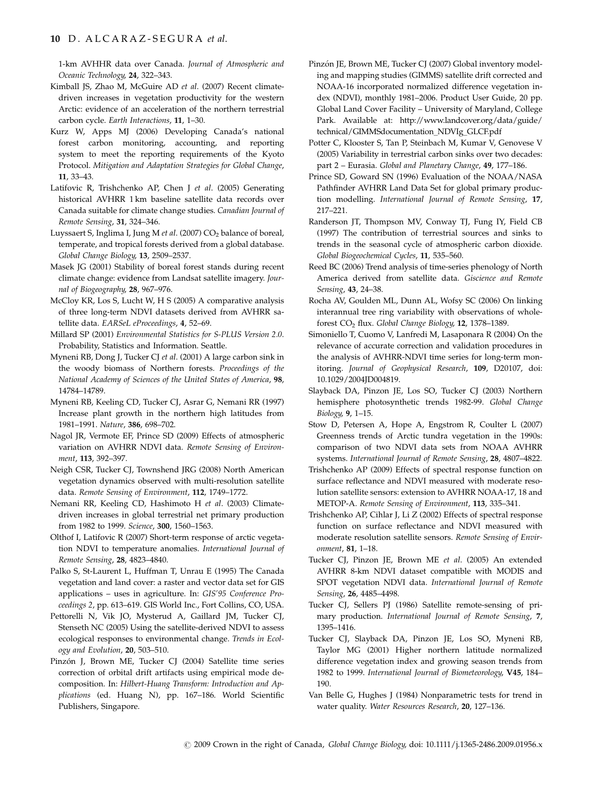## 10 D. ALCARAZ-SEGURA et al.

1-km AVHHR data over Canada. Journal of Atmospheric and Oceanic Technology, 24, 322–343.

- Kimball JS, Zhao M, McGuire AD et al. (2007) Recent climatedriven increases in vegetation productivity for the western Arctic: evidence of an acceleration of the northern terrestrial carbon cycle. Earth Interactions, 11, 1–30.
- Kurz W, Apps MJ (2006) Developing Canada's national forest carbon monitoring, accounting, and reporting system to meet the reporting requirements of the Kyoto Protocol. Mitigation and Adaptation Strategies for Global Change, 11, 33–43.
- Latifovic R, Trishchenko AP, Chen J et al. (2005) Generating historical AVHRR 1 km baseline satellite data records over Canada suitable for climate change studies. Canadian Journal of Remote Sensing, 31, 324–346.
- Luyssaert S, Inglima I, Jung M et al.  $(2007)$  CO<sub>2</sub> balance of boreal, temperate, and tropical forests derived from a global database. Global Change Biology, 13, 2509–2537.
- Masek JG (2001) Stability of boreal forest stands during recent climate change: evidence from Landsat satellite imagery. Journal of Biogeography, 28, 967–976.
- McCloy KR, Los S, Lucht W, H S (2005) A comparative analysis of three long-term NDVI datasets derived from AVHRR satellite data. EARSeL eProceedings, 4, 52–69.
- Millard SP (2001) Environmental Statistics for S-PLUS Version 2.0. Probability, Statistics and Information. Seattle.
- Myneni RB, Dong J, Tucker CJ et al. (2001) A large carbon sink in the woody biomass of Northern forests. Proceedings of the National Academy of Sciences of the United States of America, 98, 14784–14789.
- Myneni RB, Keeling CD, Tucker CJ, Asrar G, Nemani RR (1997) Increase plant growth in the northern high latitudes from 1981–1991. Nature, 386, 698–702.
- Nagol JR, Vermote EF, Prince SD (2009) Effects of atmospheric variation on AVHRR NDVI data. Remote Sensing of Environment, 113, 392–397.
- Neigh CSR, Tucker CJ, Townshend JRG (2008) North American vegetation dynamics observed with multi-resolution satellite data. Remote Sensing of Environment, 112, 1749–1772.
- Nemani RR, Keeling CD, Hashimoto H et al. (2003) Climatedriven increases in global terrestrial net primary production from 1982 to 1999. Science, 300, 1560–1563.
- Olthof I, Latifovic R (2007) Short-term response of arctic vegetation NDVI to temperature anomalies. International Journal of Remote Sensing, 28, 4823–4840.
- Palko S, St-Laurent L, Huffman T, Unrau E (1995) The Canada vegetation and land cover: a raster and vector data set for GIS applications – uses in agriculture. In: GIS'95 Conference Proceedings 2, pp. 613–619. GIS World Inc., Fort Collins, CO, USA.
- Pettorelli N, Vik JO, Mysterud A, Gaillard JM, Tucker CJ, Stenseth NC (2005) Using the satellite-derived NDVI to assess ecological responses to environmental change. Trends in Ecology and Evolution, 20, 503–510.
- Pinzón J, Brown ME, Tucker CJ (2004) Satellite time series correction of orbital drift artifacts using empirical mode decomposition. In: Hilbert-Huang Transform: Introduction and Applications (ed. Huang N), pp. 167–186. World Scientific Publishers, Singapore.
- Pinzón JE, Brown ME, Tucker CJ (2007) Global inventory modeling and mapping studies (GIMMS) satellite drift corrected and NOAA-16 incorporated normalized difference vegetation index (NDVI), monthly 1981–2006. Product User Guide, 20 pp. Global Land Cover Facility – University of Maryland, College Park. Available at: [http://www.landcover.org/data/guide/](mailto:dalcaraz@ual.es) [technical/GIMMSdocumentation\\_NDVIg\\_GLCF.pdf](mailto:dalcaraz@ual.es)
- Potter C, Klooster S, Tan P, Steinbach M, Kumar V, Genovese V (2005) Variability in terrestrial carbon sinks over two decades: part 2 – Eurasia. Global and Planetary Change, 49, 177–186.
- Prince SD, Goward SN (1996) Evaluation of the NOAA/NASA Pathfinder AVHRR Land Data Set for global primary production modelling. International Journal of Remote Sensing, 17, 217–221.
- Randerson JT, Thompson MV, Conway TJ, Fung IY, Field CB (1997) The contribution of terrestrial sources and sinks to trends in the seasonal cycle of atmospheric carbon dioxide. Global Biogeochemical Cycles, 11, 535–560.
- Reed BC (2006) Trend analysis of time-series phenology of North America derived from satellite data. Giscience and Remote Sensing, 43, 24–38.
- Rocha AV, Goulden ML, Dunn AL, Wofsy SC (2006) On linking interannual tree ring variability with observations of wholeforest CO<sub>2</sub> flux. Global Change Biology, 12, 1378-1389.
- Simoniello T, Cuomo V, Lanfredi M, Lasaponara R (2004) On the relevance of accurate correction and validation procedures in the analysis of AVHRR-NDVI time series for long-term monitoring. Journal of Geophysical Research, 109, D20107, doi: [10.1029/2004JD004819.](10.1029/2002JD002510)
- Slayback DA, Pinzon JE, Los SO, Tucker CJ (2003) Northern hemisphere photosynthetic trends 1982-99. Global Change Biology, 9, 1–15.
- Stow D, Petersen A, Hope A, Engstrom R, Coulter L (2007) Greenness trends of Arctic tundra vegetation in the 1990s: comparison of two NDVI data sets from NOAA AVHRR systems. International Journal of Remote Sensing, 28, 4807–4822.
- Trishchenko AP (2009) Effects of spectral response function on surface reflectance and NDVI measured with moderate resolution satellite sensors: extension to AVHRR NOAA-17, 18 and METOP-A. Remote Sensing of Environment, 113, 335–341.
- Trishchenko AP, Cihlar J, Li Z (2002) Effects of spectral response function on surface reflectance and NDVI measured with moderate resolution satellite sensors. Remote Sensing of Environment, 81, 1–18.
- Tucker CJ, Pinzon JE, Brown ME et al. (2005) An extended AVHRR 8-km NDVI dataset compatible with MODIS and SPOT vegetation NDVI data. International Journal of Remote Sensing, 26, 4485–4498.
- Tucker CJ, Sellers PJ (1986) Satellite remote-sensing of primary production. International Journal of Remote Sensing, 7, 1395–1416.
- Tucker CJ, Slayback DA, Pinzon JE, Los SO, Myneni RB, Taylor MG (2001) Higher northern latitude normalized difference vegetation index and growing season trends from 1982 to 1999. International Journal of Biometeorology, V45, 184– 190.
- Van Belle G, Hughes J (1984) Nonparametric tests for trend in water quality. Water Resources Research, 20, 127–136.